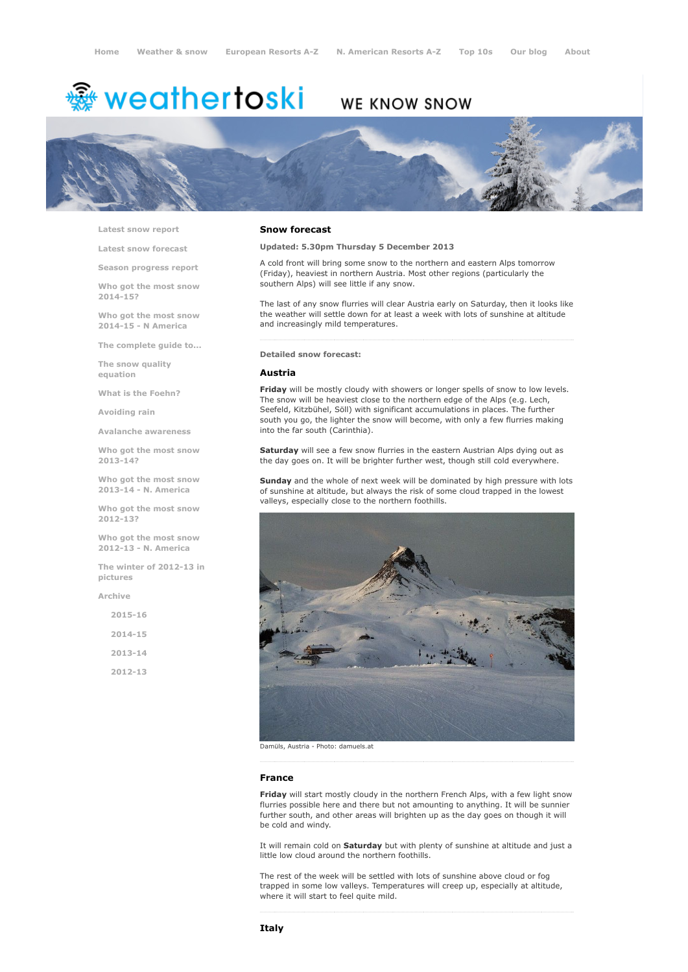# <sup>霧</sup> weathertoski

# WE KNOW SNOW



Latest snow [report](http://www.weathertoski.co.uk/weather-snow/latest-snow-report/)

Latest snow [forecast](http://www.weathertoski.co.uk/weather-snow/latest-snow-forecast/)

Season [progress](http://www.weathertoski.co.uk/weather-snow/season-progress-report/) report

Who got the most snow 2014-15?

Who got the most snow 2014-15 - N America

The [complete](http://www.weathertoski.co.uk/weather-snow/the-complete-guide-to/) guide to...

The snow quality [equation](http://www.weathertoski.co.uk/weather-snow/the-snow-quality-equation/)

What is the [Foehn?](http://www.weathertoski.co.uk/weather-snow/what-is-the-foehn/)

[Avoiding](http://www.weathertoski.co.uk/weather-snow/avoiding-rain/) rain

Avalanche [awareness](http://www.weathertoski.co.uk/weather-snow/avalanche-awareness/)

Who got the most snow 2013-14?

Who got the most snow 2013-14 - N. America

Who got the most snow 2012-13?

Who got the most snow 2012-13 - N. America

The winter of 2012-13 in pictures

[Archive](http://www.weathertoski.co.uk/weather-snow/archive/)

| $2015 - 16$ |  |
|-------------|--|
| $2014 - 15$ |  |
| $2013 - 14$ |  |
| $2012 - 13$ |  |

## Snow forecast

Updated: 5.30pm Thursday 5 December 2013

A cold front will bring some snow to the northern and eastern Alps tomorrow (Friday), heaviest in northern Austria. Most other regions (particularly the southern Alps) will see little if any snow.

The last of any snow flurries will clear Austria early on Saturday, then it looks like the weather will settle down for at least a week with lots of sunshine at altitude and increasingly mild temperatures.

#### Detailed snow forecast:

#### Austria

Friday will be mostly cloudy with showers or longer spells of snow to low levels. The snow will be heaviest close to the northern edge of the Alps (e.g. Lech, Seefeld, Kitzbühel, Söll) with significant accumulations in places. The further south you go, the lighter the snow will become, with only a few flurries making into the far south (Carinthia).

Saturday will see a few snow flurries in the eastern Austrian Alps dying out as the day goes on. It will be brighter further west, though still cold everywhere.

Sunday and the whole of next week will be dominated by high pressure with lots of sunshine at altitude, but always the risk of some cloud trapped in the lowest valleys, especially close to the northern foothills.



Damüls, Austria - Photo: damuels.at

#### France

Friday will start mostly cloudy in the northern French Alps, with a few light snow flurries possible here and there but not amounting to anything. It will be sunnier further south, and other areas will brighten up as the day goes on though it will be cold and windy.

It will remain cold on Saturday but with plenty of sunshine at altitude and just a little low cloud around the northern foothills.

The rest of the week will be settled with lots of sunshine above cloud or fog trapped in some low valleys. Temperatures will creep up, especially at altitude, where it will start to feel quite mild.